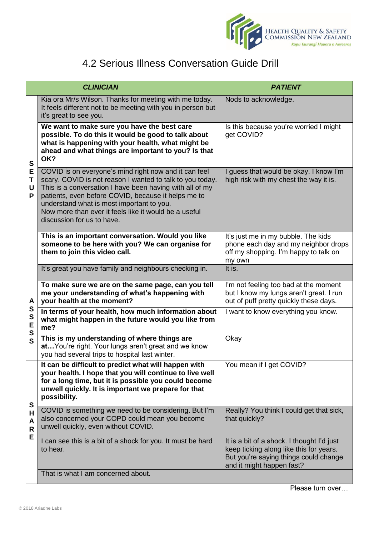

## 4.2 Serious Illness Conversation Guide Drill

| <b>CLINICIAN</b>           |                                                                                                                                                                                                                                                                                                                                                                           | <b>PATIENT</b>                                                                                                                                              |
|----------------------------|---------------------------------------------------------------------------------------------------------------------------------------------------------------------------------------------------------------------------------------------------------------------------------------------------------------------------------------------------------------------------|-------------------------------------------------------------------------------------------------------------------------------------------------------------|
| S<br>E<br>Т<br>U<br>P      | Kia ora Mr/s Wilson. Thanks for meeting with me today.<br>It feels different not to be meeting with you in person but<br>it's great to see you.                                                                                                                                                                                                                           | Nods to acknowledge.                                                                                                                                        |
|                            | We want to make sure you have the best care<br>possible. To do this it would be good to talk about<br>what is happening with your health, what might be<br>ahead and what things are important to you? Is that<br>OK?                                                                                                                                                     | Is this because you're worried I might<br>get COVID?                                                                                                        |
|                            | COVID is on everyone's mind right now and it can feel<br>scary. COVID is not reason I wanted to talk to you today.<br>This is a conversation I have been having with all of my<br>patients, even before COVID, because it helps me to<br>understand what is most important to you.<br>Now more than ever it feels like it would be a useful<br>discussion for us to have. | guess that would be okay. I know I'm<br>high risk with my chest the way it is.                                                                              |
|                            | This is an important conversation. Would you like<br>someone to be here with you? We can organise for<br>them to join this video call.                                                                                                                                                                                                                                    | It's just me in my bubble. The kids<br>phone each day and my neighbor drops<br>off my shopping. I'm happy to talk on<br>my own                              |
|                            | It's great you have family and neighbours checking in.                                                                                                                                                                                                                                                                                                                    | It is.                                                                                                                                                      |
| A<br>S<br>S<br>E<br>S<br>S | To make sure we are on the same page, can you tell<br>me your understanding of what's happening with<br>your health at the moment?                                                                                                                                                                                                                                        | I'm not feeling too bad at the moment<br>but I know my lungs aren't great. I run<br>out of puff pretty quickly these days.                                  |
|                            | In terms of your health, how much information about<br>what might happen in the future would you like from<br>me?                                                                                                                                                                                                                                                         | I want to know everything you know.                                                                                                                         |
|                            | This is my understanding of where things are<br>at You're right. Your lungs aren't great and we know<br>you had several trips to hospital last winter.                                                                                                                                                                                                                    | Okay                                                                                                                                                        |
| S<br>Н<br>A<br>R<br>E      | It can be difficult to predict what will happen with<br>your health. I hope that you will continue to live well<br>for a long time, but it is possible you could become<br>unwell quickly. It is important we prepare for that<br>possibility.                                                                                                                            | You mean if I get COVID?                                                                                                                                    |
|                            | COVID is something we need to be considering. But I'm<br>also concerned your COPD could mean you become<br>unwell quickly, even without COVID.                                                                                                                                                                                                                            | Really? You think I could get that sick,<br>that quickly?                                                                                                   |
|                            | I can see this is a bit of a shock for you. It must be hard<br>to hear.                                                                                                                                                                                                                                                                                                   | It is a bit of a shock. I thought I'd just<br>keep ticking along like this for years.<br>But you're saying things could change<br>and it might happen fast? |
|                            | That is what I am concerned about.                                                                                                                                                                                                                                                                                                                                        |                                                                                                                                                             |

Please turn over…